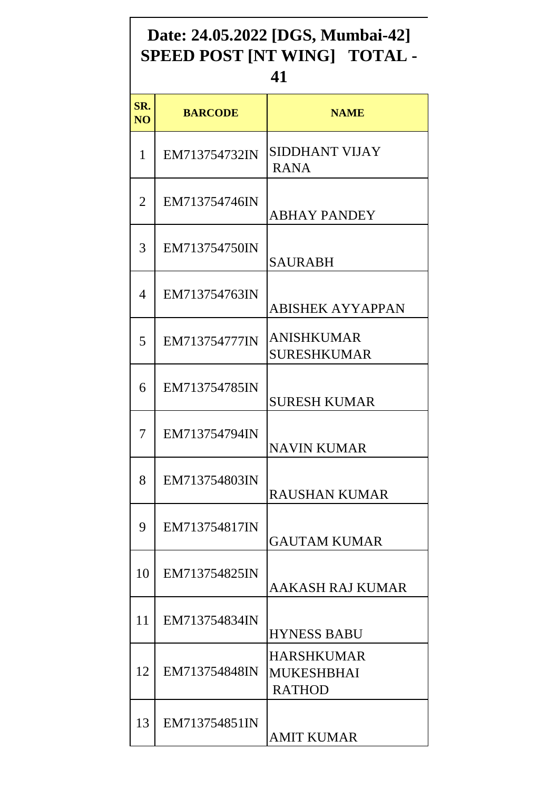## **Date: 24.05.2022 [DGS, Mumbai-42] SPEED POST [NT WING] TOTAL -**

## **41**

| SR.<br>N <sub>O</sub> | <b>BARCODE</b> | <b>NAME</b>                                      |
|-----------------------|----------------|--------------------------------------------------|
| 1                     | EM713754732IN  | <b>SIDDHANT VIJAY</b><br><b>RANA</b>             |
| 2                     | EM713754746IN  | <b>ABHAY PANDEY</b>                              |
| 3                     | EM713754750IN  | <b>SAURABH</b>                                   |
| 4                     | EM713754763IN  | <b>ABISHEK AYYAPPAN</b>                          |
| 5                     | EM713754777IN  | ANISHKUMAR<br>SURESHKUMAR                        |
| 6                     | EM713754785IN  | <b>SURESH KUMAR</b>                              |
| 7                     | EM713754794IN  | <b>NAVIN KUMAR</b>                               |
| 8                     | EM713754803IN  | <b>RAUSHAN KUMAR</b>                             |
| 9                     | EM713754817IN  | <b>GAUTAM KUMAR</b>                              |
| 10                    | EM713754825IN  | AAKASH RAJ KUMAR                                 |
| 11                    | EM713754834IN  | <b>HYNESS BABU</b>                               |
| 12                    | EM713754848IN  | HARSHKUMAR<br><b>MUKESHBHAI</b><br><b>RATHOD</b> |
| 13                    | EM713754851IN  | <b>AMIT KUMAR</b>                                |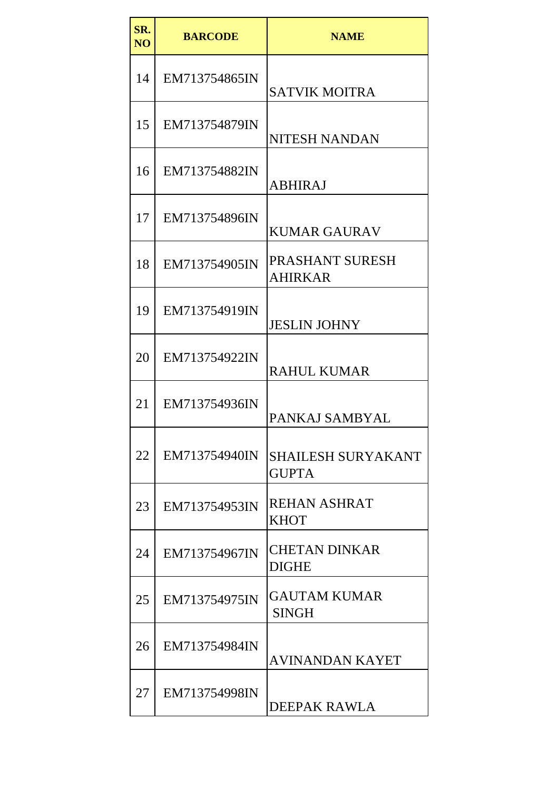| SR.<br>N <sub>O</sub> | <b>BARCODE</b> | <b>NAME</b>                               |
|-----------------------|----------------|-------------------------------------------|
| 14                    | EM713754865IN  | <b>SATVIK MOITRA</b>                      |
| 15                    | EM713754879IN  | <b>NITESH NANDAN</b>                      |
| 16                    | EM713754882IN  | <b>ABHIRAJ</b>                            |
| 17                    | EM713754896IN  | <b>KUMAR GAURAV</b>                       |
| 18                    | EM713754905IN  | <b>PRASHANT SURESH</b><br><b>AHIRKAR</b>  |
| 19                    | EM713754919IN  | <b>JESLIN JOHNY</b>                       |
| 20                    | EM713754922IN  | <b>RAHUL KUMAR</b>                        |
| 21                    | EM713754936IN  | PANKAJ SAMBYAL                            |
| 22                    | EM713754940IN  | <b>SHAILESH SURYAKANT</b><br><b>GUPTA</b> |
| 23                    | EM713754953IN  | <b>REHAN ASHRAT</b><br><b>KHOT</b>        |
| 24                    | EM713754967IN  | <b>CHETAN DINKAR</b><br><b>DIGHE</b>      |
| 25                    | EM713754975IN  | <b>GAUTAM KUMAR</b><br><b>SINGH</b>       |
| 26                    | EM713754984IN  | AVINANDAN KAYET                           |
| 27                    | EM713754998IN  | DEEPAK RAWLA                              |